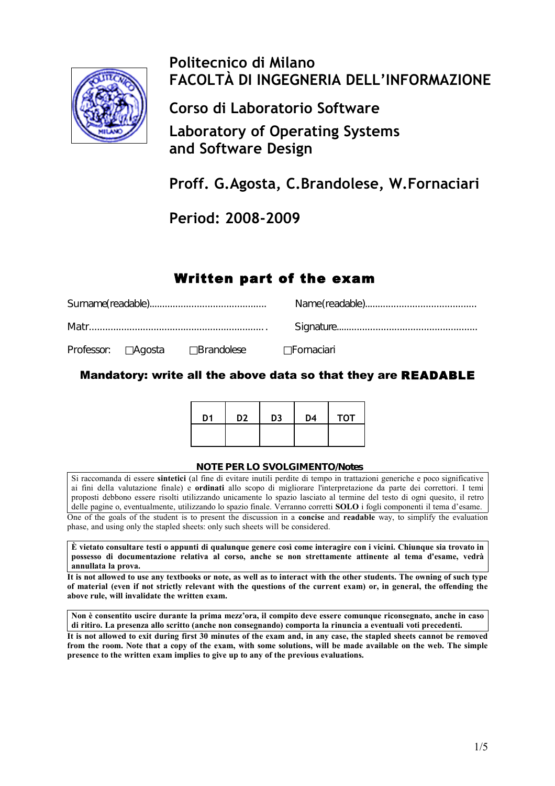

# **Politecnico di Milano FACOLTÀ DI INGEGNERIA DELL'INFORMAZIONE**

**Corso di Laboratorio Software**

**Laboratory of Operating Systems and Software Design**

**Proff. G.Agosta, C.Brandolese, W.Fornaciari**

**Period: 2008-2009**

## Written part of the exam

|  |  | Professor: □Agosta □Brandolese □Fornaciari |  |  |  |
|--|--|--------------------------------------------|--|--|--|

Mandatory: write all the above data so that they are READABLE

| D <sub>1</sub> | D <sub>2</sub> | D <sub>3</sub> | D <sub>4</sub> | <b>TOT</b> |
|----------------|----------------|----------------|----------------|------------|
|                |                |                |                |            |

#### **NOTE PER LO SVOLGIMENTO/Notes**

Si raccomanda di essere **sintetici** (al fine di evitare inutili perdite di tempo in trattazioni generiche e poco significative ai fini della valutazione finale) e **ordinati** allo scopo di migliorare l'interpretazione da parte dei correttori. I temi proposti debbono essere risolti utilizzando unicamente lo spazio lasciato al termine del testo di ogni quesito, il retro delle pagine o, eventualmente, utilizzando lo spazio finale. Verranno corretti **SOLO** i fogli componenti il tema d'esame. One of the goals of the student is to present the discussion in a **concise** and **readable** way, to simplify the evaluation phase, and using only the stapled sheets: only such sheets will be considered.

**È vietato consultare testi o appunti di qualunque genere così come interagire con i vicini. Chiunque sia trovato in possesso di documentazione relativa al corso, anche se non strettamente attinente al tema d'esame, vedrà annullata la prova.**

**It is not allowed to use any textbooks or note, as well as to interact with the other students. The owning of such type of material (even if not strictly relevant with the questions of the current exam) or, in general, the offending the above rule, will invalidate the written exam.**

**Non è consentito uscire durante la prima mezz'ora, il compito deve essere comunque riconsegnato, anche in caso di ritiro. La presenza allo scritto (anche non consegnando) comporta la rinuncia a eventuali voti precedenti.**

**It is not allowed to exit during first 30 minutes of the exam and, in any case, the stapled sheets cannot be removed from the room. Note that a copy of the exam, with some solutions, will be made available on the web. The simple presence to the written exam implies to give up to any of the previous evaluations.**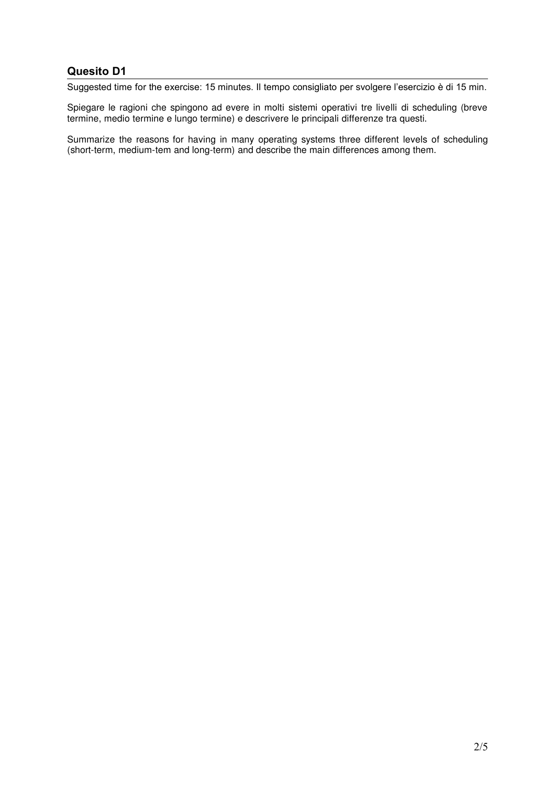Suggested time for the exercise: 15 minutes. Il tempo consigliato per svolgere l'esercizio è di 15 min.

Spiegare le ragioni che spingono ad evere in molti sistemi operativi tre livelli di scheduling (breve termine, medio termine e lungo termine) e descrivere le principali differenze tra questi.

Summarize the reasons for having in many operating systems three different levels of scheduling (short-term, medium-tem and long-term) and describe the main differences among them.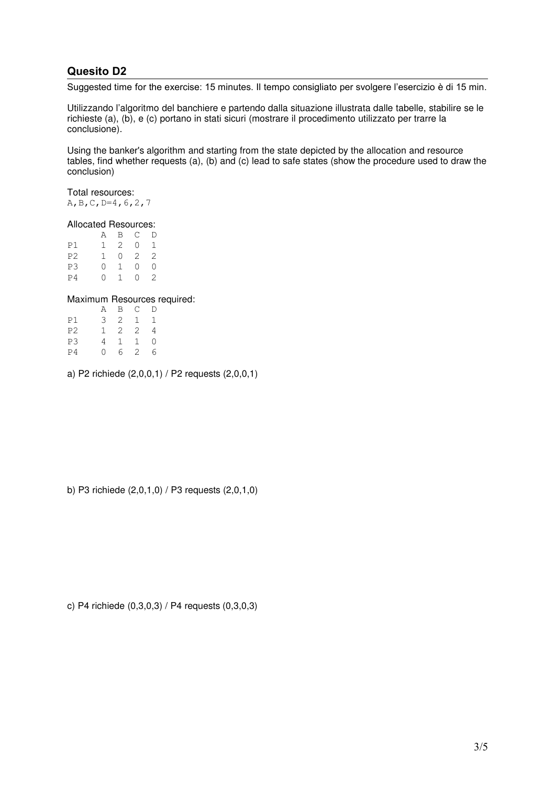Suggested time for the exercise: 15 minutes. Il tempo consigliato per svolgere l'esercizio è di 15 min.

Utilizzando l'algoritmo del banchiere e partendo dalla situazione illustrata dalle tabelle, stabilire se le richieste (a), (b), e (c) portano in stati sicuri (mostrare il procedimento utilizzato per trarre la conclusione).

Using the banker's algorithm and starting from the state depicted by the allocation and resource tables, find whether requests (a), (b) and (c) lead to safe states (show the procedure used to draw the conclusion)

Total resources: A,B,C,D=4,6,2,7

#### Allocated Resources:

|                | Α                | B              | C       | D |
|----------------|------------------|----------------|---------|---|
| P1             | 1.               | $\overline{2}$ | Ω       | 1 |
| P <sub>2</sub> | ı.               | Λ              | 2       | 2 |
| P3             | $\left( \right)$ | 1              | $^{()}$ | Λ |
| P <sub>4</sub> | $\left( \right)$ | 1.             | 0       | 2 |

#### Maximum Resources required:

|                | Α        | B              | $\mathsf{C}$   | D |
|----------------|----------|----------------|----------------|---|
| P1             | 3        | 2              | 1              | 1 |
| P <sub>2</sub> | ı        | $\overline{c}$ | 2              | 4 |
| P3             | 4        | $\mathbf{1}$   | $\overline{1}$ | ∩ |
| P <sub>4</sub> | $^{(1)}$ | 6              | 2              | 6 |

a) P2 richiede (2,0,0,1) / P2 requests (2,0,0,1)

b) P3 richiede (2,0,1,0) / P3 requests (2,0,1,0)

c) P4 richiede (0,3,0,3) / P4 requests (0,3,0,3)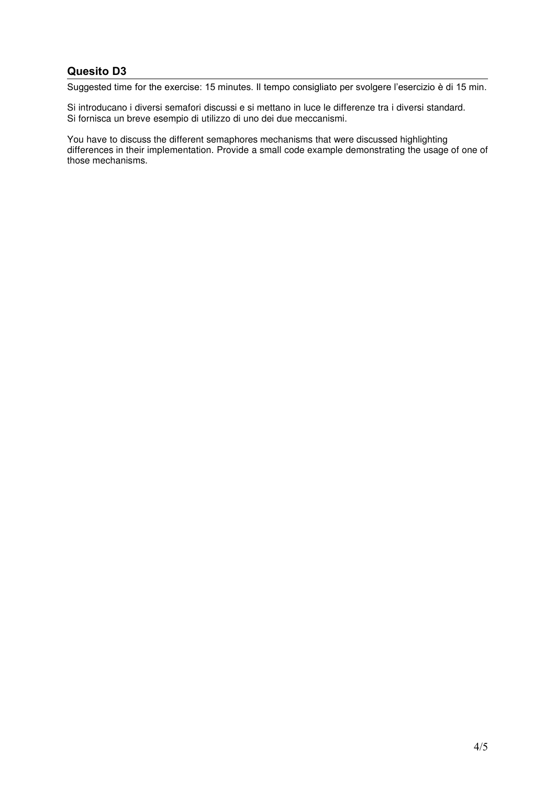Suggested time for the exercise: 15 minutes. Il tempo consigliato per svolgere l'esercizio è di 15 min.

Si introducano i diversi semafori discussi e si mettano in luce le differenze tra i diversi standard. Si fornisca un breve esempio di utilizzo di uno dei due meccanismi.

You have to discuss the different semaphores mechanisms that were discussed highlighting differences in their implementation. Provide a small code example demonstrating the usage of one of those mechanisms.